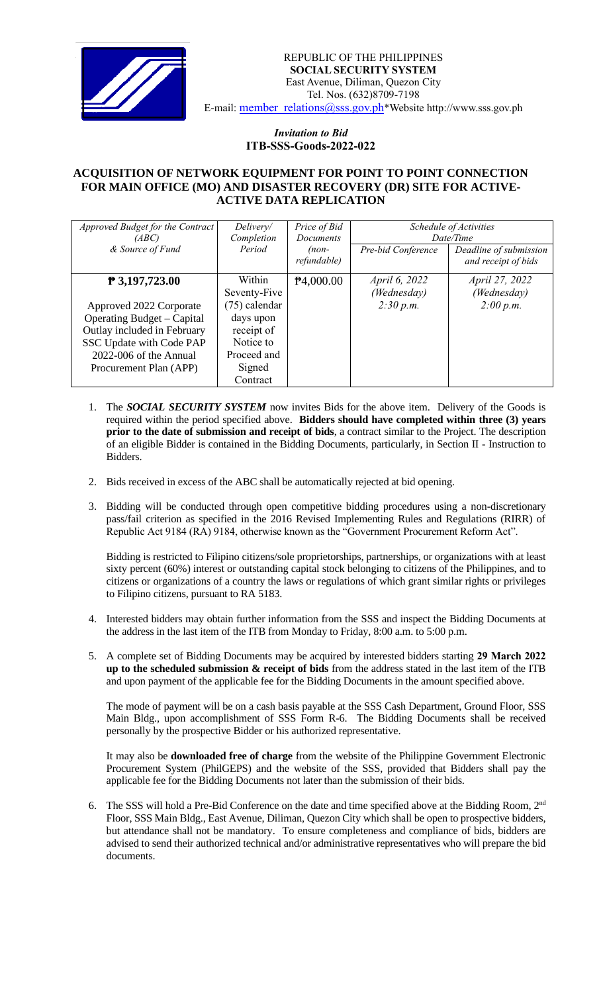

## *Invitation to Bid*  **ITB-SSS-Goods-2022-022**

## **ACQUISITION OF NETWORK EQUIPMENT FOR POINT TO POINT CONNECTION FOR MAIN OFFICE (MO) AND DISASTER RECOVERY (DR) SITE FOR ACTIVE-ACTIVE DATA REPLICATION**

| Approved Budget for the Contract<br>(ABC)<br>& Source of Fund                                                                                                                              | Delivery/<br>Completion<br>Period                                                                                      | Price of Bid<br>Documents<br>$(non-$<br>refundable) | Pre-bid Conference                        | Schedule of Activities<br>Date/Time<br>Deadline of submission<br>and receipt of bids |
|--------------------------------------------------------------------------------------------------------------------------------------------------------------------------------------------|------------------------------------------------------------------------------------------------------------------------|-----------------------------------------------------|-------------------------------------------|--------------------------------------------------------------------------------------|
| ₱ 3,197,723.00<br>Approved 2022 Corporate<br>Operating Budget – Capital<br>Outlay included in February<br>SSC Update with Code PAP<br>$2022 - 006$ of the Annual<br>Procurement Plan (APP) | Within<br>Seventy-Five<br>$(75)$ calendar<br>days upon<br>receipt of<br>Notice to<br>Proceed and<br>Signed<br>Contract | P <sub>4</sub> ,000.00                              | April 6, 2022<br>(Wednesday)<br>2:30 p.m. | April 27, 2022<br>(Wednesday)<br>2:00 p.m.                                           |

- 1. The *SOCIAL SECURITY SYSTEM* now invites Bids for the above item. Delivery of the Goods is required within the period specified above. **Bidders should have completed within three (3) years prior to the date of submission and receipt of bids**, a contract similar to the Project. The description of an eligible Bidder is contained in the Bidding Documents, particularly, in Section II - Instruction to Bidders.
- 2. Bids received in excess of the ABC shall be automatically rejected at bid opening.
- 3. Bidding will be conducted through open competitive bidding procedures using a non-discretionary pass/fail criterion as specified in the 2016 Revised Implementing Rules and Regulations (RIRR) of Republic Act 9184 (RA) 9184, otherwise known as the "Government Procurement Reform Act".

Bidding is restricted to Filipino citizens/sole proprietorships, partnerships, or organizations with at least sixty percent (60%) interest or outstanding capital stock belonging to citizens of the Philippines, and to citizens or organizations of a country the laws or regulations of which grant similar rights or privileges to Filipino citizens, pursuant to RA 5183.

- 4. Interested bidders may obtain further information from the SSS and inspect the Bidding Documents at the address in the last item of the ITB from Monday to Friday, 8:00 a.m. to 5:00 p.m.
- 5. A complete set of Bidding Documents may be acquired by interested bidders starting **29 March 2022 up to the scheduled submission & receipt of bids** from the address stated in the last item of the ITB and upon payment of the applicable fee for the Bidding Documents in the amount specified above.

The mode of payment will be on a cash basis payable at the SSS Cash Department, Ground Floor, SSS Main Bldg., upon accomplishment of SSS Form R-6. The Bidding Documents shall be received personally by the prospective Bidder or his authorized representative.

It may also be **downloaded free of charge** from the website of the Philippine Government Electronic Procurement System (PhilGEPS) and the website of the SSS*,* provided that Bidders shall pay the applicable fee for the Bidding Documents not later than the submission of their bids.

6. The SSS will hold a Pre-Bid Conference on the date and time specified above at the Bidding Room, 2<sup>nd</sup> Floor, SSS Main Bldg., East Avenue, Diliman, Quezon City which shall be open to prospective bidders, but attendance shall not be mandatory. To ensure completeness and compliance of bids, bidders are advised to send their authorized technical and/or administrative representatives who will prepare the bid documents.